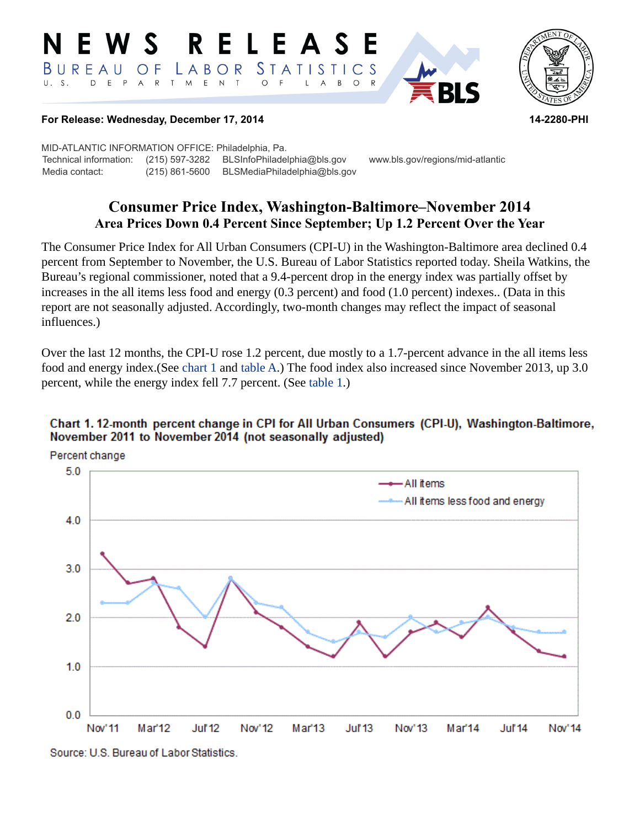#### RELEASE E W S *STATISTICS* BUREAU  $\overline{O}$  F LABOR D E P A R T M  $E$  N  $T$  $U. S.$  $\circ$  $\mathsf{L}$  $\overline{A}$  $B$  $\circ$



#### **For Release: Wednesday, December 17, 2014 14-2280-PHI**

MID-ATLANTIC INFORMATION OFFICE: Philadelphia, Pa. Technical information: (215) 597-3282 BLSInfoPhiladelphia@bls.gov www.bls.gov/regions/mid-atlantic Media contact: (215) 861-5600 BLSMediaPhiladelphia@bls.gov

# **Consumer Price Index, Washington-Baltimore–November 2014 Area Prices Down 0.4 Percent Since September; Up 1.2 Percent Over the Year**

The Consumer Price Index for All Urban Consumers (CPI-U) in the Washington-Baltimore area declined 0.4 percent from September to November, the U.S. Bureau of Labor Statistics reported today. Sheila Watkins, the Bureau's regional commissioner, noted that a 9.4-percent drop in the energy index was partially offset by increases in the all items less food and energy (0.3 percent) and food (1.0 percent) indexes.. (Data in this report are not seasonally adjusted. Accordingly, two-month changes may reflect the impact of seasonal influences.)

Over the last 12 months, the CPI-U rose 1.2 percent, due mostly to a 1.7-percent advance in the all items less food and energy index.(See chart 1 and [table A.](#page-1-0)) The food index also increased since November 2013, up 3.0 percent, while the energy index fell 7.7 percent. (See [table 1](#page-3-0).)

#### Chart 1. 12-month percent change in CPI for All Urban Consumers (CPI-U), Washington-Baltimore, November 2011 to November 2014 (not seasonally adjusted)



Source: U.S. Bureau of Labor Statistics.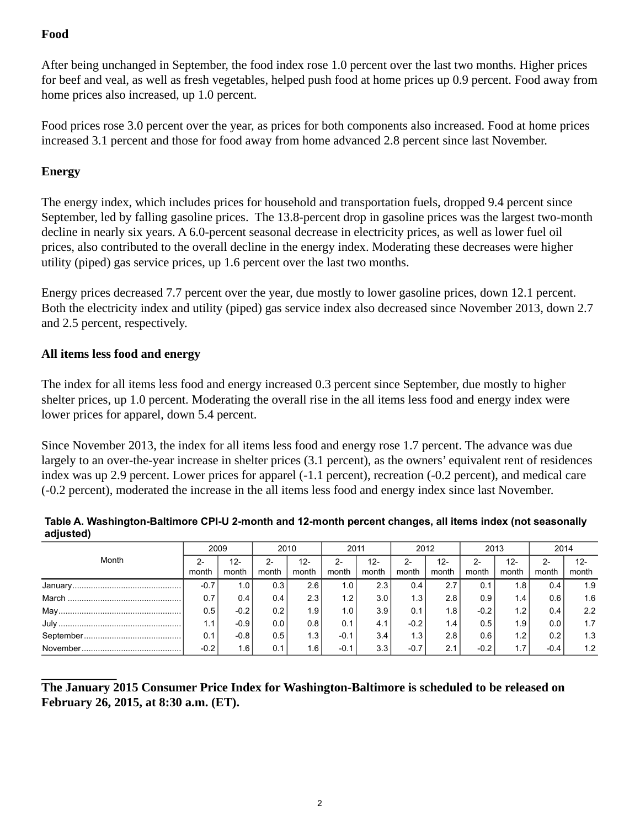## **Food**

After being unchanged in September, the food index rose 1.0 percent over the last two months. Higher prices for beef and veal, as well as fresh vegetables, helped push food at home prices up 0.9 percent. Food away from home prices also increased, up 1.0 percent.

Food prices rose 3.0 percent over the year, as prices for both components also increased. Food at home prices increased 3.1 percent and those for food away from home advanced 2.8 percent since last November.

### **Energy**

The energy index, which includes prices for household and transportation fuels, dropped 9.4 percent since September, led by falling gasoline prices. The 13.8-percent drop in gasoline prices was the largest two-month decline in nearly six years. A 6.0-percent seasonal decrease in electricity prices, as well as lower fuel oil prices, also contributed to the overall decline in the energy index. Moderating these decreases were higher utility (piped) gas service prices, up 1.6 percent over the last two months.

Energy prices decreased 7.7 percent over the year, due mostly to lower gasoline prices, down 12.1 percent. Both the electricity index and utility (piped) gas service index also decreased since November 2013, down 2.7 and 2.5 percent, respectively.

#### **All items less food and energy**

The index for all items less food and energy increased 0.3 percent since September, due mostly to higher shelter prices, up 1.0 percent. Moderating the overall rise in the all items less food and energy index were lower prices for apparel, down 5.4 percent.

Since November 2013, the index for all items less food and energy rose 1.7 percent. The advance was due largely to an over-the-year increase in shelter prices (3.1 percent), as the owners' equivalent rent of residences index was up 2.9 percent. Lower prices for apparel (-1.1 percent), recreation (-0.2 percent), and medical care (-0.2 percent), moderated the increase in the all items less food and energy index since last November.

<span id="page-1-0"></span>

| Table A. Washington-Baltimore CPI-U 2-month and 12-month percent changes, all items index (not seasonally |  |
|-----------------------------------------------------------------------------------------------------------|--|
| adjusted)                                                                                                 |  |

|       | 2009   |                 | 2010             |                  | 2011          |                  | 2012             |                  | 2013           |              | 2014          |              |
|-------|--------|-----------------|------------------|------------------|---------------|------------------|------------------|------------------|----------------|--------------|---------------|--------------|
| Month | month  | $12 -$<br>month | month            | 12-<br>month     | 2-<br>month   | $12 -$<br>month  | 2-<br>month      | $12 -$<br>month  | $2 -$<br>month | 12-<br>month | $2-$<br>month | 12-<br>month |
|       | $-0.7$ | 1.0             | 0.3 <sub>1</sub> | 2.6              | $1.0^{\circ}$ | 2.3 <sub>1</sub> | 0.4              | 2.7              | 0.1            | 1.8          | 0.4           | 1.9          |
|       | 0.7    | 0.4             | $0.4^{\circ}$    | 2.3              | 1.2           | 3.0 <sub>1</sub> | 1.3              | 2.8              | 0.9            | 1.4          | 0.6           | 1.6          |
|       | 0.5    | $-0.2$          | 0.2              | 1.9              | 1.0           | 3.9              | 0.1              | 1.8 <sub>1</sub> | $-0.2$         | 1.2          | 0.4           | 2.2          |
|       | 1.1    | $-0.9$          | 0.0              | 0.8              | 0.1           | 4.1              | $-0.2$           | 1.4 <sub>1</sub> | 0.5            | 1.9          | 0.0           | 1.7          |
|       | 0.1    | $-0.8$          | 0.5              | 1.3              | $-0.1$        | 3.4              | 1.3 <sub>1</sub> | 2.8              | 0.6            | 1.2          | 0.2           | 1.3          |
|       | $-0.2$ | 1.6             | 0.1              | 1.6 <sub>1</sub> | $-0.1$        | 3.3              | $-0.7$           | 2.1              | $-0.2$         | 1.7          | $-0.4$        | 1.2          |

### **The January 2015 Consumer Price Index for Washington-Baltimore is scheduled to be released on February 26, 2015, at 8:30 a.m. (ET).**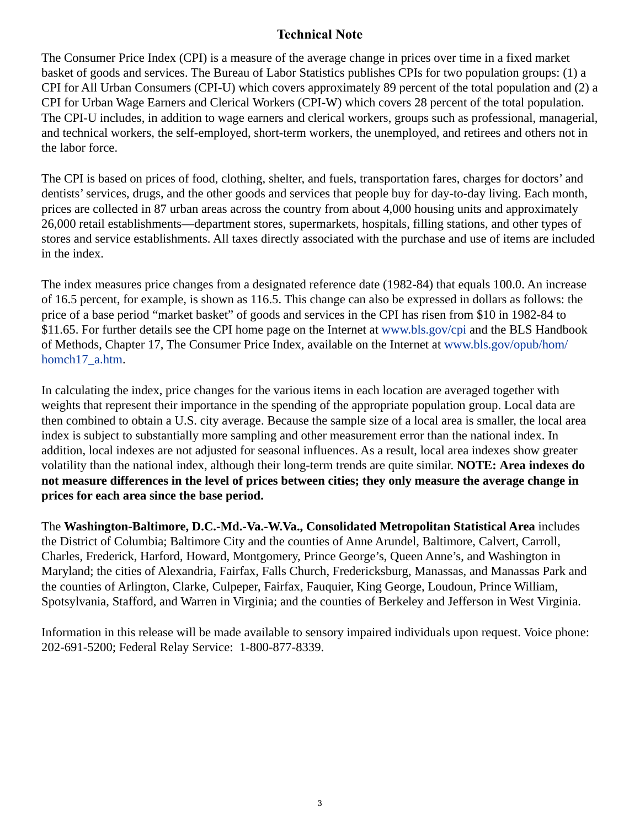## **Technical Note**

The Consumer Price Index (CPI) is a measure of the average change in prices over time in a fixed market basket of goods and services. The Bureau of Labor Statistics publishes CPIs for two population groups: (1) a CPI for All Urban Consumers (CPI-U) which covers approximately 89 percent of the total population and (2) a CPI for Urban Wage Earners and Clerical Workers (CPI-W) which covers 28 percent of the total population. The CPI-U includes, in addition to wage earners and clerical workers, groups such as professional, managerial, and technical workers, the self-employed, short-term workers, the unemployed, and retirees and others not in the labor force.

The CPI is based on prices of food, clothing, shelter, and fuels, transportation fares, charges for doctors' and dentists' services, drugs, and the other goods and services that people buy for day-to-day living. Each month, prices are collected in 87 urban areas across the country from about 4,000 housing units and approximately 26,000 retail establishments—department stores, supermarkets, hospitals, filling stations, and other types of stores and service establishments. All taxes directly associated with the purchase and use of items are included in the index.

The index measures price changes from a designated reference date (1982-84) that equals 100.0. An increase of 16.5 percent, for example, is shown as 116.5. This change can also be expressed in dollars as follows: the price of a base period "market basket" of goods and services in the CPI has risen from \$10 in 1982-84 to \$11.65. For further details see the CPI home page on the Internet at [www.bls.gov/cpi](https://www.bls.gov/cpi) and the BLS Handbook of Methods, Chapter 17, The Consumer Price Index, available on the Internet at [www.bls.gov/opub/hom/](https://www.bls.gov/opub/hom/homch17_a.htm) [homch17\\_a.htm](https://www.bls.gov/opub/hom/homch17_a.htm).

In calculating the index, price changes for the various items in each location are averaged together with weights that represent their importance in the spending of the appropriate population group. Local data are then combined to obtain a U.S. city average. Because the sample size of a local area is smaller, the local area index is subject to substantially more sampling and other measurement error than the national index. In addition, local indexes are not adjusted for seasonal influences. As a result, local area indexes show greater volatility than the national index, although their long-term trends are quite similar. **NOTE: Area indexes do not measure differences in the level of prices between cities; they only measure the average change in prices for each area since the base period.**

The **Washington-Baltimore, D.C.-Md.-Va.-W.Va., Consolidated Metropolitan Statistical Area** includes the District of Columbia; Baltimore City and the counties of Anne Arundel, Baltimore, Calvert, Carroll, Charles, Frederick, Harford, Howard, Montgomery, Prince George's, Queen Anne's, and Washington in Maryland; the cities of Alexandria, Fairfax, Falls Church, Fredericksburg, Manassas, and Manassas Park and the counties of Arlington, Clarke, Culpeper, Fairfax, Fauquier, King George, Loudoun, Prince William, Spotsylvania, Stafford, and Warren in Virginia; and the counties of Berkeley and Jefferson in West Virginia.

Information in this release will be made available to sensory impaired individuals upon request. Voice phone: 202-691-5200; Federal Relay Service: 1-800-877-8339.